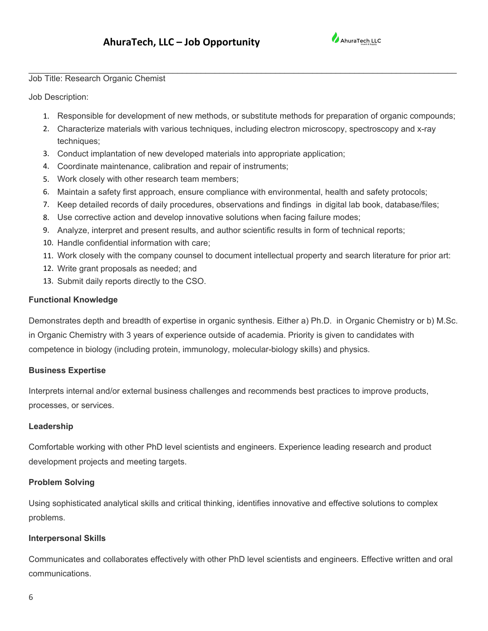

Job Title: Research Organic Chemist

Job Description:

1. Responsible for development of new methods, or substitute methods for preparation of organic compounds;

\_\_\_\_\_\_\_\_\_\_\_\_\_\_\_\_\_\_\_\_\_\_\_\_\_\_\_\_\_\_\_\_\_\_\_\_\_\_\_\_\_\_\_\_\_\_\_\_\_\_\_\_\_\_\_\_\_\_\_\_\_\_\_\_\_\_\_\_\_\_\_\_\_\_\_\_\_\_\_\_\_\_\_\_\_\_\_\_\_\_\_\_

- 2. Characterize materials with various techniques, including electron microscopy, spectroscopy and x-ray techniques;
- 3. Conduct implantation of new developed materials into appropriate application;
- 4. Coordinate maintenance, calibration and repair of instruments;
- 5. Work closely with other research team members;
- 6. Maintain a safety first approach, ensure compliance with environmental, health and safety protocols;
- 7. Keep detailed records of daily procedures, observations and findings in digital lab book, database/files;
- 8. Use corrective action and develop innovative solutions when facing failure modes;
- 9. Analyze, interpret and present results, and author scientific results in form of technical reports;
- 10. Handle confidential information with care;
- 11. Work closely with the company counsel to document intellectual property and search literature for prior art:
- 12. Write grant proposals as needed; and
- 13. Submit daily reports directly to the CSO.

## **Functional Knowledge**

Demonstrates depth and breadth of expertise in organic synthesis. Either a) Ph.D. in Organic Chemistry or b) M.Sc. in Organic Chemistry with 3 years of experience outside of academia. Priority is given to candidates with competence in biology (including protein, immunology, molecular-biology skills) and physics.

### **Business Expertise**

Interprets internal and/or external business challenges and recommends best practices to improve products, processes, or services.

### **Leadership**

Comfortable working with other PhD level scientists and engineers. Experience leading research and product development projects and meeting targets.

### **Problem Solving**

Using sophisticated analytical skills and critical thinking, identifies innovative and effective solutions to complex problems.

### **Interpersonal Skills**

Communicates and collaborates effectively with other PhD level scientists and engineers. Effective written and oral communications.